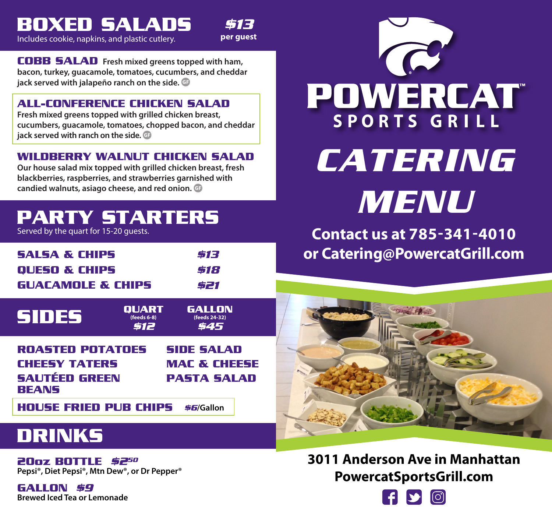Includes cookie, napkins, and plastic cutlery.

**BOXED SALADS**

**\$13 per guest**

**COBB SALAD Fresh mixed greens topped with ham, bacon, turkey, guacamole, tomatoes, cucumbers, and cheddar jack served with jalapeño ranch on the side.** 

#### **ALL-CONFERENCE CHICKEN SALAD**

**Fresh mixed greens topped with grilled chicken breast, cucumbers, guacamole, tomatoes, chopped bacon, and cheddar jack served with ranch on the side.** 

#### **WILDBERRY WALNUT CHICKEN SALAD**

**Our house salad mix topped with grilled chicken breast, fresh blackberries, raspberries, and strawberries garnished with candied walnuts, asiago cheese, and red onion.** 

## **PARTY STARTERS**

Served by the quart for 15-20 guests.

| <b>SALSA &amp; CHIPS</b>     | \$13 |
|------------------------------|------|
| <b>QUESO &amp; CHIPS</b>     | \$18 |
| <b>GUACAMOLE &amp; CHIPS</b> | \$21 |



**Contact us at 785-341-4010 or Catering@PowercatGrill.com**

| SIDES                                                                                   | <b>QUART</b><br>$( feeds 6-8)$<br>\$12 | <b>GALLON</b><br>(feeds 24-32)<br>\$45 |                                               |
|-----------------------------------------------------------------------------------------|----------------------------------------|----------------------------------------|-----------------------------------------------|
| <b>ROASTED POTATOES</b><br><b>CHEESY TATERS</b><br><b>SAUTÉED GREEN</b><br><b>BEANS</b> |                                        | <b>SIDE SALAD</b>                      | <b>MAC &amp; CHEESE</b><br><b>PASTA SALAD</b> |
| <b>HOUSE FRIED PUB CHIPS</b> \$6/Gallon                                                 |                                        |                                        |                                               |



## **DRINKS**

**Pepsi®, Diet Pepsi®, Mtn Dew®, or Dr Pepper® 20oz BOTTLE \$250**

**GALLON \$9 Brewed Iced Tea or Lemonade** **3011 Anderson Ave in Manhattan PowercatSportsGrill.com**